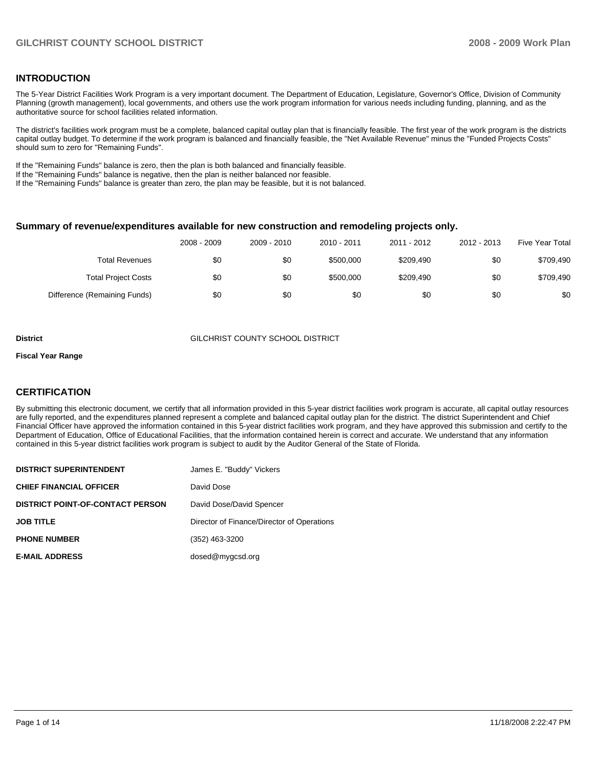## **INTRODUCTION**

The 5-Year District Facilities Work Program is a very important document. The Department of Education, Legislature, Governor's Office, Division of Community Planning (growth management), local governments, and others use the work program information for various needs including funding, planning, and as the authoritative source for school facilities related information.

The district's facilities work program must be a complete, balanced capital outlay plan that is financially feasible. The first year of the work program is the districts capital outlay budget. To determine if the work program is balanced and financially feasible, the "Net Available Revenue" minus the "Funded Projects Costs" should sum to zero for "Remaining Funds".

If the "Remaining Funds" balance is zero, then the plan is both balanced and financially feasible.

If the "Remaining Funds" balance is negative, then the plan is neither balanced nor feasible.

If the "Remaining Funds" balance is greater than zero, the plan may be feasible, but it is not balanced.

#### **Summary of revenue/expenditures available for new construction and remodeling projects only.**

| <b>Five Year Total</b> | 2012 - 2013 | 2011 - 2012 | 2010 - 2011 | 2009 - 2010 | 2008 - 2009 |                              |
|------------------------|-------------|-------------|-------------|-------------|-------------|------------------------------|
| \$709,490              | \$0         | \$209,490   | \$500,000   | \$0         | \$0         | Total Revenues               |
| \$709,490              | \$0         | \$209,490   | \$500,000   | \$0         | \$0         | <b>Total Project Costs</b>   |
| \$0                    | \$0         | \$0         | \$0         | \$0         | \$0         | Difference (Remaining Funds) |

#### **District** GILCHRIST COUNTY SCHOOL DISTRICT

#### **Fiscal Year Range**

### **CERTIFICATION**

By submitting this electronic document, we certify that all information provided in this 5-year district facilities work program is accurate, all capital outlay resources are fully reported, and the expenditures planned represent a complete and balanced capital outlay plan for the district. The district Superintendent and Chief Financial Officer have approved the information contained in this 5-year district facilities work program, and they have approved this submission and certify to the Department of Education, Office of Educational Facilities, that the information contained herein is correct and accurate. We understand that any information contained in this 5-year district facilities work program is subject to audit by the Auditor General of the State of Florida.

| <b>DISTRICT SUPERINTENDENT</b>          | James E. "Buddy" Vickers                   |
|-----------------------------------------|--------------------------------------------|
| <b>CHIEF FINANCIAL OFFICER</b>          | David Dose                                 |
| <b>DISTRICT POINT-OF-CONTACT PERSON</b> | David Dose/David Spencer                   |
| <b>JOB TITLE</b>                        | Director of Finance/Director of Operations |
| <b>PHONE NUMBER</b>                     | (352) 463-3200                             |
| <b>E-MAIL ADDRESS</b>                   | dosed@mygcsd.org                           |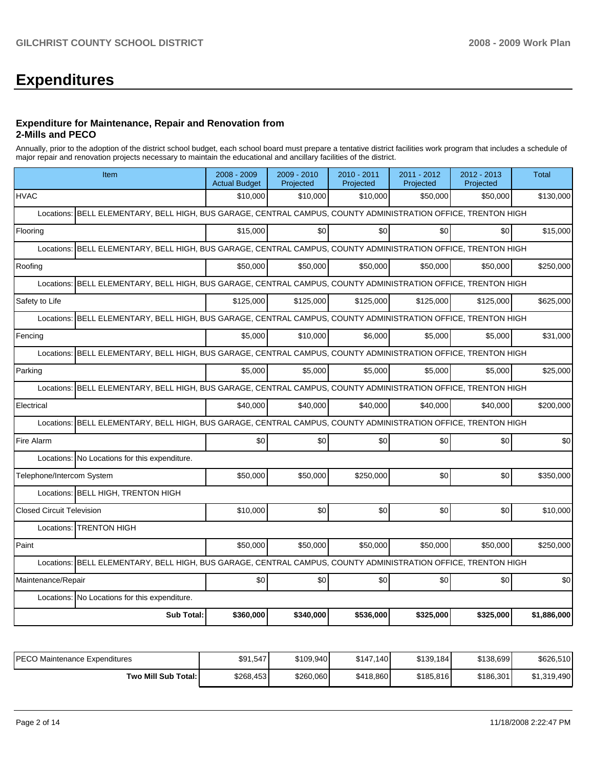# **Expenditures**

#### **Expenditure for Maintenance, Repair and Renovation from 2-Mills and PECO**

Annually, prior to the adoption of the district school budget, each school board must prepare a tentative district facilities work program that includes a schedule of major repair and renovation projects necessary to maintain the educational and ancillary facilities of the district.

| Item                                                                                                             | 2008 - 2009<br><b>Actual Budget</b>                                                                           | 2009 - 2010<br>Projected | 2010 - 2011<br>Projected | 2011 - 2012<br>Projected | 2012 - 2013<br>Projected | <b>Total</b> |  |  |  |  |
|------------------------------------------------------------------------------------------------------------------|---------------------------------------------------------------------------------------------------------------|--------------------------|--------------------------|--------------------------|--------------------------|--------------|--|--|--|--|
| <b>HVAC</b>                                                                                                      | \$10,000                                                                                                      | \$10,000                 | \$10,000                 | \$50,000                 | \$50,000                 | \$130,000    |  |  |  |  |
| Locations: BELL ELEMENTARY, BELL HIGH, BUS GARAGE, CENTRAL CAMPUS, COUNTY ADMINISTRATION OFFICE, TRENTON HIGH    |                                                                                                               |                          |                          |                          |                          |              |  |  |  |  |
| Flooring                                                                                                         | \$15,000                                                                                                      | \$0                      | \$0                      | \$0                      | \$0                      | \$15,000     |  |  |  |  |
|                                                                                                                  | Locations: BELL ELEMENTARY, BELL HIGH, BUS GARAGE, CENTRAL CAMPUS, COUNTY ADMINISTRATION OFFICE, TRENTON HIGH |                          |                          |                          |                          |              |  |  |  |  |
| Roofing                                                                                                          | \$50,000                                                                                                      | \$50,000                 | \$50,000                 | \$50,000                 | \$50,000                 | \$250,000    |  |  |  |  |
| Locations: BELL ELEMENTARY, BELL HIGH, BUS GARAGE, CENTRAL CAMPUS, COUNTY ADMINISTRATION OFFICE, TRENTON HIGH    |                                                                                                               |                          |                          |                          |                          |              |  |  |  |  |
| Safety to Life                                                                                                   | \$125,000                                                                                                     | \$125,000                | \$125,000                | \$125,000                | \$125,000                | \$625,000    |  |  |  |  |
| BELL ELEMENTARY, BELL HIGH, BUS GARAGE, CENTRAL CAMPUS, COUNTY ADMINISTRATION OFFICE, TRENTON HIGH<br>Locations: |                                                                                                               |                          |                          |                          |                          |              |  |  |  |  |
| Fencing                                                                                                          | \$5.000                                                                                                       | \$10.000                 | \$6.000                  | \$5.000                  | \$5,000                  | \$31,000     |  |  |  |  |
| BELL ELEMENTARY, BELL HIGH, BUS GARAGE, CENTRAL CAMPUS, COUNTY ADMINISTRATION OFFICE, TRENTON HIGH<br>Locations: |                                                                                                               |                          |                          |                          |                          |              |  |  |  |  |
| Parking                                                                                                          | \$5,000                                                                                                       | \$5,000                  | \$5,000                  | \$5,000                  | \$5,000                  | \$25,000     |  |  |  |  |
| Locations: BELL ELEMENTARY, BELL HIGH, BUS GARAGE, CENTRAL CAMPUS, COUNTY ADMINISTRATION OFFICE, TRENTON HIGH    |                                                                                                               |                          |                          |                          |                          |              |  |  |  |  |
| Electrical                                                                                                       | \$40.000                                                                                                      | \$40.000                 | \$40,000                 | \$40,000                 | \$40.000                 | \$200,000    |  |  |  |  |
| Locations: BELL ELEMENTARY, BELL HIGH, BUS GARAGE, CENTRAL CAMPUS, COUNTY ADMINISTRATION OFFICE, TRENTON HIGH    |                                                                                                               |                          |                          |                          |                          |              |  |  |  |  |
| Fire Alarm                                                                                                       | \$0                                                                                                           | \$0                      | \$0                      | \$0                      | \$0                      | \$0          |  |  |  |  |
| Locations: No Locations for this expenditure.                                                                    |                                                                                                               |                          |                          |                          |                          |              |  |  |  |  |
| Telephone/Intercom System                                                                                        | \$50,000                                                                                                      | \$50,000                 | \$250,000                | \$0                      | \$0                      | \$350,000    |  |  |  |  |
| Locations: BELL HIGH, TRENTON HIGH                                                                               |                                                                                                               |                          |                          |                          |                          |              |  |  |  |  |
| <b>Closed Circuit Television</b>                                                                                 | \$10,000                                                                                                      | \$0                      | \$0                      | \$0                      | \$0                      | \$10,000     |  |  |  |  |
| Locations: <b>TRENTON HIGH</b>                                                                                   |                                                                                                               |                          |                          |                          |                          |              |  |  |  |  |
| Paint                                                                                                            | \$50,000                                                                                                      | \$50,000                 | \$50,000                 | \$50,000                 | \$50,000                 | \$250,000    |  |  |  |  |
| Locations: BELL ELEMENTARY, BELL HIGH, BUS GARAGE, CENTRAL CAMPUS, COUNTY ADMINISTRATION OFFICE, TRENTON HIGH    |                                                                                                               |                          |                          |                          |                          |              |  |  |  |  |
| Maintenance/Repair                                                                                               | \$0                                                                                                           | \$0                      | \$0                      | \$0                      | \$0                      | \$0          |  |  |  |  |
| Locations: No Locations for this expenditure.                                                                    |                                                                                                               |                          |                          |                          |                          |              |  |  |  |  |
| <b>Sub Total:</b>                                                                                                | \$360,000                                                                                                     | \$340,000                | \$536,000                | \$325,000                | \$325,000                | \$1,886,000  |  |  |  |  |

| IPECO Maintenance Expenditures | \$91,547  | \$109,940 | \$147.140 | \$139,184 | \$138.699 | \$626,510   |
|--------------------------------|-----------|-----------|-----------|-----------|-----------|-------------|
| Two Mill Sub Total:            | \$268,453 | \$260,060 | \$418,860 | \$185,816 | \$186,301 | \$1,319,490 |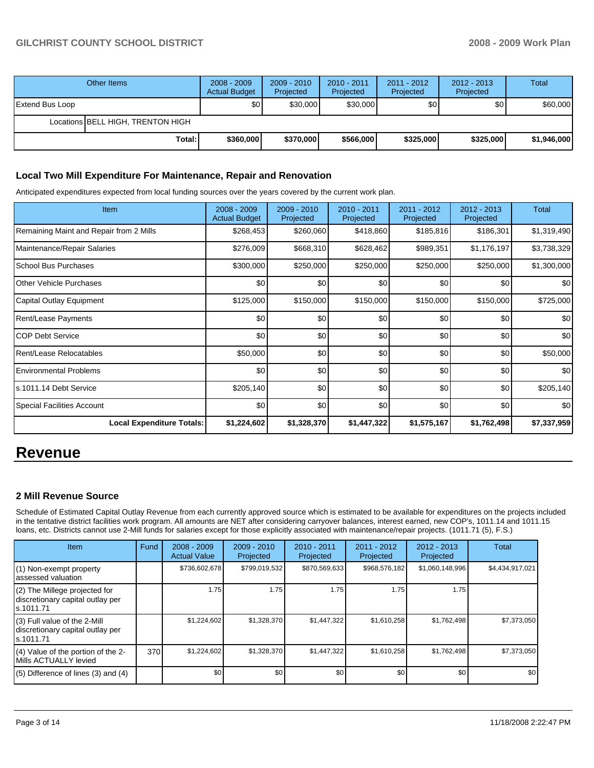## **GILCHRIST COUNTY SCHOOL DISTRICT 2008 - 2009 Work Plan**

|                 | Other Items                       | $2008 - 2009$<br><b>Actual Budget</b> | $2009 - 2010$<br>Projected | 2010 - 2011<br>Projected | $2011 - 2012$<br>Projected | $2012 - 2013$<br>Projected | Total       |
|-----------------|-----------------------------------|---------------------------------------|----------------------------|--------------------------|----------------------------|----------------------------|-------------|
| Extend Bus Loop |                                   | \$0                                   | \$30,000                   | \$30,000                 | \$0                        | \$0 <sub>1</sub>           | \$60,000    |
|                 | Locations BELL HIGH, TRENTON HIGH |                                       |                            |                          |                            |                            |             |
|                 | Total:                            | \$360,000                             | \$370,000                  | \$566,000                | \$325,000                  | \$325,000                  | \$1,946,000 |

## **Local Two Mill Expenditure For Maintenance, Repair and Renovation**

Anticipated expenditures expected from local funding sources over the years covered by the current work plan.

| Item                                    | 2008 - 2009<br><b>Actual Budget</b> | 2009 - 2010<br>Projected | $2010 - 2011$<br>Projected | 2011 - 2012<br>Projected | $2012 - 2013$<br>Projected | <b>Total</b>     |
|-----------------------------------------|-------------------------------------|--------------------------|----------------------------|--------------------------|----------------------------|------------------|
| Remaining Maint and Repair from 2 Mills | \$268,453                           | \$260,060                | \$418,860                  | \$185,816                | \$186,301                  | \$1,319,490      |
| Maintenance/Repair Salaries             | \$276,009                           | \$668,310                | \$628,462                  | \$989,351                | \$1,176,197                | \$3,738,329      |
| School Bus Purchases                    | \$300,000                           | \$250,000                | \$250,000                  | \$250,000                | \$250,000                  | \$1,300,000      |
| <b>Other Vehicle Purchases</b>          | \$0                                 | \$0                      | \$0                        | \$0                      | \$0                        | \$0 <sub>1</sub> |
| Capital Outlay Equipment                | \$125,000                           | \$150,000                | \$150,000                  | \$150,000                | \$150,000                  | \$725,000        |
| Rent/Lease Payments                     | \$0                                 | \$0                      | \$0                        | \$0                      | \$0                        | \$0              |
| <b>COP Debt Service</b>                 | \$0                                 | \$0                      | \$0                        | \$0                      | \$0                        | \$0              |
| Rent/Lease Relocatables                 | \$50,000                            | \$0                      | \$0                        | \$0                      | \$0                        | \$50,000         |
| <b>Environmental Problems</b>           | \$0                                 | \$0                      | \$0                        | \$0                      | \$0                        | \$0              |
| s.1011.14 Debt Service                  | \$205,140                           | \$0                      | \$0                        | \$0                      | \$0                        | \$205,140        |
| <b>Special Facilities Account</b>       | \$0                                 | \$0                      | \$0                        | \$0                      | \$0                        | \$0 <sub>1</sub> |
| <b>Local Expenditure Totals:</b>        | \$1,224,602                         | \$1,328,370              | \$1,447,322                | \$1,575,167              | \$1,762,498                | \$7,337,959      |

## **Revenue**

## **2 Mill Revenue Source**

Schedule of Estimated Capital Outlay Revenue from each currently approved source which is estimated to be available for expenditures on the projects included in the tentative district facilities work program. All amounts are NET after considering carryover balances, interest earned, new COP's, 1011.14 and 1011.15 loans, etc. Districts cannot use 2-Mill funds for salaries except for those explicitly associated with maintenance/repair projects. (1011.71 (5), F.S.)

| Item                                                                             | Fund | $2008 - 2009$<br><b>Actual Value</b> | $2009 - 2010$<br>Projected | 2010 - 2011<br>Projected | $2011 - 2012$<br>Projected | 2012 - 2013<br>Projected | Total           |
|----------------------------------------------------------------------------------|------|--------------------------------------|----------------------------|--------------------------|----------------------------|--------------------------|-----------------|
| (1) Non-exempt property<br>lassessed valuation                                   |      | \$736,602,678                        | \$799,019,532              | \$870,569,633            | \$968,576,182              | \$1,060,148,996          | \$4,434,917,021 |
| (2) The Millege projected for<br>discretionary capital outlay per<br>ls.1011.71  |      | 1.75                                 | 1.75                       | 1.75                     | 1.75                       | 1.75                     |                 |
| $(3)$ Full value of the 2-Mill<br>discretionary capital outlay per<br>ls.1011.71 |      | \$1,224,602                          | \$1,328,370                | \$1,447,322              | \$1,610,258                | \$1,762,498              | \$7,373,050     |
| $(4)$ Value of the portion of the 2-<br>Mills ACTUALLY levied                    | 370  | \$1,224,602                          | \$1,328,370                | \$1,447,322              | \$1,610,258                | \$1,762,498              | \$7,373,050     |
| $(5)$ Difference of lines $(3)$ and $(4)$                                        |      | \$0                                  | \$0                        | \$0                      | \$0                        | \$0                      | \$0             |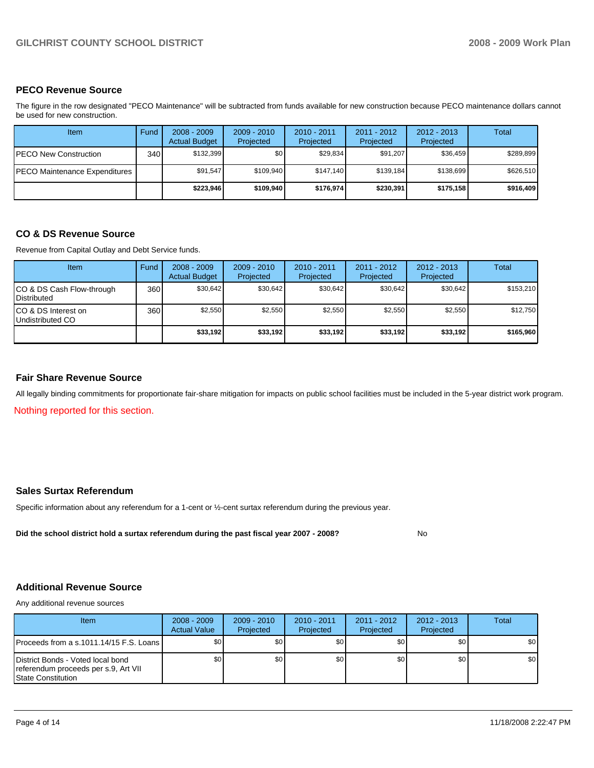## **PECO Revenue Source**

The figure in the row designated "PECO Maintenance" will be subtracted from funds available for new construction because PECO maintenance dollars cannot be used for new construction.

| Item                          | Fund  | $2008 - 2009$<br><b>Actual Budget</b> | $2009 - 2010$<br>Projected | $2010 - 2011$<br>Projected | 2011 - 2012<br>Projected | $2012 - 2013$<br>Projected | Total     |
|-------------------------------|-------|---------------------------------------|----------------------------|----------------------------|--------------------------|----------------------------|-----------|
| IPECO New Construction        | 340 l | \$132.399                             | \$0                        | \$29,834                   | \$91.207                 | \$36,459                   | \$289,899 |
| PECO Maintenance Expenditures |       | \$91,547                              | \$109,940                  | \$147.140                  | \$139.184                | \$138.699                  | \$626,510 |
|                               |       | \$223.946                             | \$109.940                  | \$176.974                  | \$230.391                | \$175,158                  | \$916,409 |

### **CO & DS Revenue Source**

Revenue from Capital Outlay and Debt Service funds.

| Item                                               | Fund | $2008 - 2009$<br><b>Actual Budget</b> | $2009 - 2010$<br>Projected | $2010 - 2011$<br>Projected | $2011 - 2012$<br>Projected | $2012 - 2013$<br>Projected | Total     |
|----------------------------------------------------|------|---------------------------------------|----------------------------|----------------------------|----------------------------|----------------------------|-----------|
| ICO & DS Cash Flow-through<br><b>I</b> Distributed | 360  | \$30.642                              | \$30,642                   | \$30,642                   | \$30.642                   | \$30,642                   | \$153,210 |
| ICO & DS Interest on<br>Undistributed CO           | 360  | \$2,550                               | \$2,550                    | \$2,550                    | \$2,550                    | \$2,550                    | \$12,750  |
|                                                    |      | \$33,192                              | \$33.192                   | \$33,192                   | \$33.192                   | \$33,192                   | \$165,960 |

#### **Fair Share Revenue Source**

All legally binding commitments for proportionate fair-share mitigation for impacts on public school facilities must be included in the 5-year district work program.

Nothing reported for this section.

### **Sales Surtax Referendum**

Specific information about any referendum for a 1-cent or ½-cent surtax referendum during the previous year.

Did the school district hold a surtax referendum during the past fiscal year 2007 - 2008? No

## **Additional Revenue Source**

Any additional revenue sources

| <b>Item</b>                                                                                             | $2008 - 2009$<br><b>Actual Value</b> | $2009 - 2010$<br>Projected | $2010 - 2011$<br>Projected | $2011 - 2012$<br>Projected | $2012 - 2013$<br>Projected | Total |
|---------------------------------------------------------------------------------------------------------|--------------------------------------|----------------------------|----------------------------|----------------------------|----------------------------|-------|
| IProceeds from a s.1011.14/15 F.S. Loans I                                                              | \$0 <sub>1</sub>                     | \$0                        | \$0                        | \$0                        | \$0                        | \$0   |
| District Bonds - Voted local bond<br>referendum proceeds per s.9, Art VII<br><b>IState Constitution</b> | \$0 <sub>1</sub>                     | \$0                        | \$0                        | \$0 <sub>1</sub>           | \$0                        | \$0   |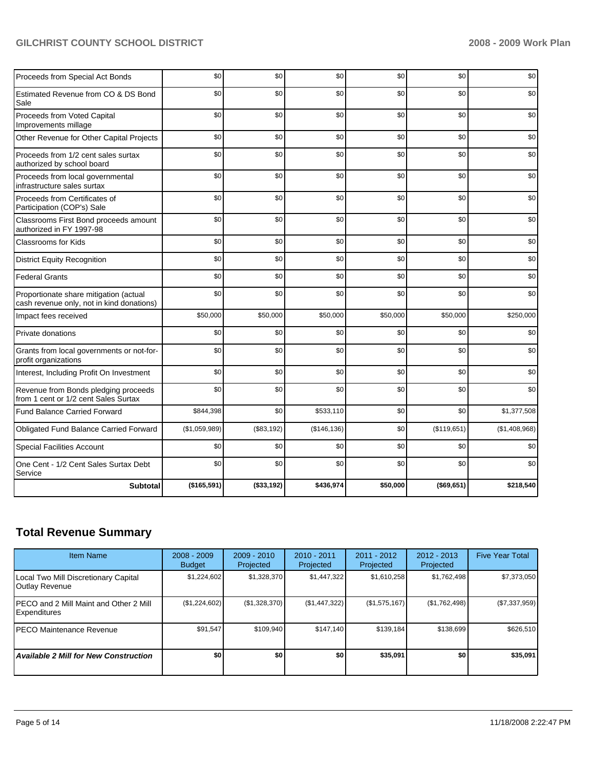## GILCHRIST COUNTY SCHOOL DISTRICT **2008 - 2009 Work Plan**

| Proceeds from Special Act Bonds                                                     | \$0           | \$0        | \$0          | \$0      | \$0           | \$0           |
|-------------------------------------------------------------------------------------|---------------|------------|--------------|----------|---------------|---------------|
| Estimated Revenue from CO & DS Bond<br>Sale                                         | \$0           | \$0        | \$0          | \$0      | \$0           | \$0           |
| Proceeds from Voted Capital<br>Improvements millage                                 | \$0           | \$0        | \$0          | \$0      | \$0           | \$0           |
| Other Revenue for Other Capital Projects                                            | \$0           | \$0        | \$0          | \$0      | \$0           | \$0           |
| Proceeds from 1/2 cent sales surtax<br>authorized by school board                   | \$0           | \$0        | \$0          | \$0      | \$0           | \$0           |
| Proceeds from local governmental<br>infrastructure sales surtax                     | \$0           | \$0        | \$0          | \$0      | \$0           | \$0           |
| Proceeds from Certificates of<br>Participation (COP's) Sale                         | \$0           | \$0        | \$0          | \$0      | \$0           | \$0           |
| Classrooms First Bond proceeds amount<br>authorized in FY 1997-98                   | \$0           | \$0        | \$0          | \$0      | \$0           | \$0           |
| Classrooms for Kids                                                                 | \$0           | \$0        | \$0          | \$0      | \$0           | \$0           |
| <b>District Equity Recognition</b>                                                  | \$0           | \$0        | \$0          | \$0      | \$0           | \$0           |
| <b>Federal Grants</b>                                                               | \$0           | \$0        | \$0          | \$0      | \$0           | \$0           |
| Proportionate share mitigation (actual<br>cash revenue only, not in kind donations) | \$0           | \$0        | \$0          | \$0      | \$0           | \$0           |
| Impact fees received                                                                | \$50,000      | \$50,000   | \$50,000     | \$50,000 | \$50,000      | \$250,000     |
| Private donations                                                                   | \$0           | \$0        | \$0          | \$0      | \$0           | \$0           |
| Grants from local governments or not-for-<br>profit organizations                   | \$0           | \$0        | \$0          | \$0      | \$0           | \$0           |
| Interest, Including Profit On Investment                                            | \$0           | \$0        | \$0          | \$0      | \$0           | \$0           |
| Revenue from Bonds pledging proceeds<br>from 1 cent or 1/2 cent Sales Surtax        | \$0           | \$0        | \$0          | \$0      | \$0           | \$0           |
| Fund Balance Carried Forward                                                        | \$844,398     | \$0        | \$533,110    | \$0      | \$0           | \$1,377,508   |
| Obligated Fund Balance Carried Forward                                              | (\$1,059,989) | (\$83,192) | (\$146, 136) | \$0      | (\$119,651)   | (\$1,408,968) |
| <b>Special Facilities Account</b>                                                   | \$0           | \$0        | \$0          | \$0      | \$0           | \$0           |
| One Cent - 1/2 Cent Sales Surtax Debt<br>Service                                    | \$0           | \$0        | \$0          | \$0      | \$0           | \$0           |
| <b>Subtotal</b>                                                                     | (\$165,591)   | (\$33,192) | \$436,974    | \$50,000 | $($ \$69,651) | \$218,540     |

## **Total Revenue Summary**

| <b>Item Name</b>                                               | $2008 - 2009$<br><b>Budget</b> | $2009 - 2010$<br>Projected | $2010 - 2011$<br>Projected | $2011 - 2012$<br>Projected | $2012 - 2013$<br>Projected | <b>Five Year Total</b> |
|----------------------------------------------------------------|--------------------------------|----------------------------|----------------------------|----------------------------|----------------------------|------------------------|
| Local Two Mill Discretionary Capital<br>Outlay Revenue         | \$1,224,602                    | \$1,328,370                | \$1,447,322                | \$1,610,258                | \$1,762,498                | \$7,373,050            |
| IPECO and 2 Mill Maint and Other 2 Mill<br><b>Expenditures</b> | (\$1,224,602)                  | (\$1,328,370)              | (\$1,447,322)              | (\$1,575,167)              | (\$1,762,498)              | $(\$7,337,959)$        |
| <b>IPECO Maintenance Revenue</b>                               | \$91,547                       | \$109,940                  | \$147.140                  | \$139,184                  | \$138,699                  | \$626,510              |
| <b>Available 2 Mill for New Construction</b>                   | \$0                            | \$O                        | \$0                        | \$35,091                   | \$0                        | \$35,091               |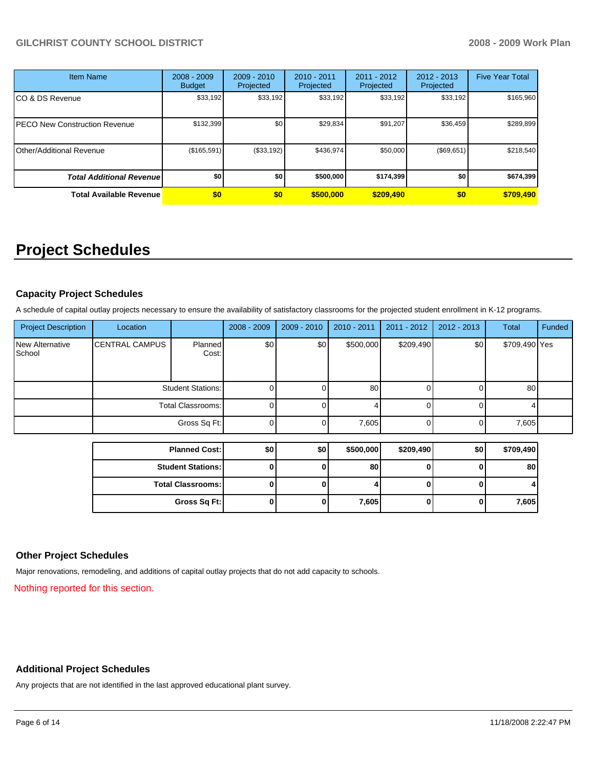| <b>Item Name</b>                 | $2008 - 2009$<br><b>Budget</b> | $2009 - 2010$<br>Projected | $2010 - 2011$<br>Projected | 2011 - 2012<br>Projected | $2012 - 2013$<br>Projected | <b>Five Year Total</b> |
|----------------------------------|--------------------------------|----------------------------|----------------------------|--------------------------|----------------------------|------------------------|
| CO & DS Revenue                  | \$33,192                       | \$33,192                   | \$33,192                   | \$33,192                 | \$33,192                   | \$165,960              |
| PECO New Construction Revenue    | \$132,399                      | \$0                        | \$29,834                   | \$91,207                 | \$36,459                   | \$289,899              |
| Other/Additional Revenue         | (\$165,591)                    | (\$33,192)                 | \$436.974                  | \$50,000                 | (\$69,651)                 | \$218,540              |
| <b>Total Additional Revenuel</b> | \$0                            | \$0                        | \$500,000                  | \$174,399                | \$0                        | \$674,399              |
| <b>Total Available Revenue</b>   | \$0                            | \$0                        | \$500,000                  | \$209,490                | \$0                        | \$709,490              |

## **Project Schedules**

## **Capacity Project Schedules**

A schedule of capital outlay projects necessary to ensure the availability of satisfactory classrooms for the projected student enrollment in K-12 programs.

| <b>Project Description</b>       | Location              |                          | 2008 - 2009 | $2009 - 2010$ | $2010 - 2011$ | $2011 - 2012$ | $2012 - 2013$ | <b>Total</b>  | Funded |
|----------------------------------|-----------------------|--------------------------|-------------|---------------|---------------|---------------|---------------|---------------|--------|
| <b>New Alternative</b><br>School | <b>CENTRAL CAMPUS</b> | Planned<br>Cost:         | \$0         | \$0           | \$500,000     | \$209,490     | \$0           | \$709,490 Yes |        |
|                                  |                       | <b>Student Stations:</b> | $\Omega$    |               | 80            |               |               | 80            |        |
|                                  |                       | <b>Total Classrooms:</b> | $\Omega$    |               |               |               |               |               |        |
|                                  |                       | Gross Sq Ft:             | $\Omega$    |               | 7,605         | 0             |               | 7,605         |        |
|                                  |                       |                          |             |               |               |               |               |               |        |
|                                  |                       | <b>Planned Cost:</b>     | \$0         | \$0           | \$500,000     | \$209,490     | \$0           | \$709,490     |        |
|                                  |                       | <b>Student Stations:</b> | $\bf{0}$    |               | 80            | 0             |               | 80            |        |
|                                  |                       | <b>Total Classrooms:</b> | $\bf{0}$    |               |               | U             |               |               |        |
|                                  |                       | Gross Sq Ft:             | 0           |               | 7,605         | 0             | 0             | 7,605         |        |

## **Other Project Schedules**

Major renovations, remodeling, and additions of capital outlay projects that do not add capacity to schools.

Nothing reported for this section.

## **Additional Project Schedules**

Any projects that are not identified in the last approved educational plant survey.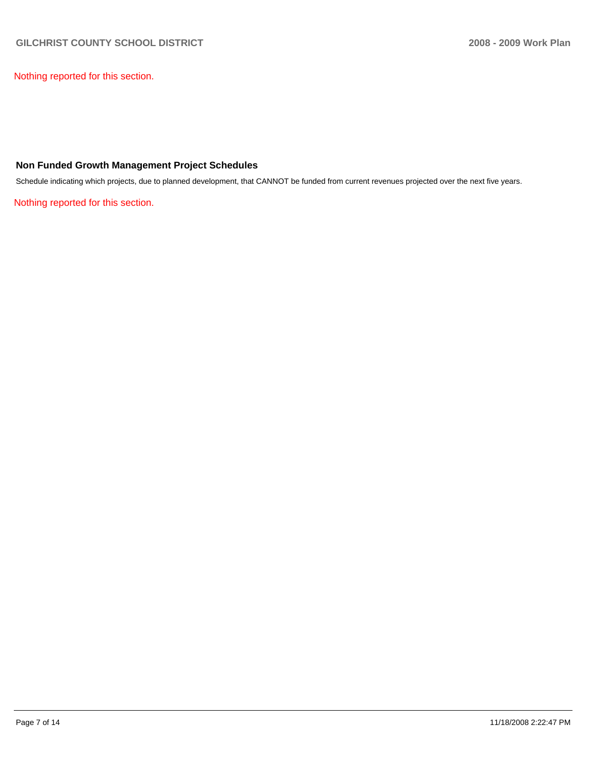Nothing reported for this section.

## **Non Funded Growth Management Project Schedules**

Schedule indicating which projects, due to planned development, that CANNOT be funded from current revenues projected over the next five years.

Nothing reported for this section.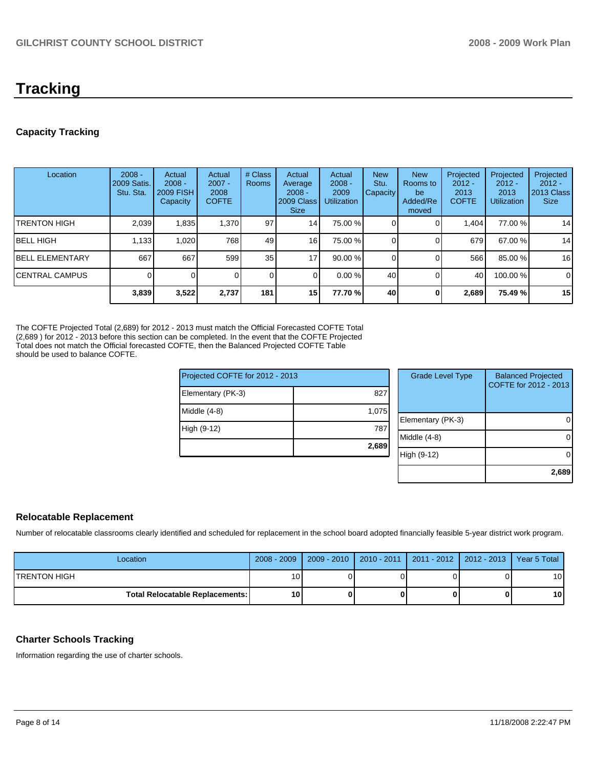## **Tracking**

## **Capacity Tracking**

| Location                | $2008 -$<br>2009 Satis.<br>Stu. Sta. | Actual<br>$2008 -$<br><b>2009 FISH</b><br>Capacity | Actual<br>$2007 -$<br>2008<br><b>COFTE</b> | # Class<br><b>Rooms</b> | Actual<br>Average<br>$2008 -$<br>2009 Class<br><b>Size</b> | Actual<br>$2008 -$<br>2009<br>Utilization | <b>New</b><br>Stu.<br>Capacity | <b>New</b><br><b>Rooms</b> to<br>be<br>Added/Re<br>moved | Projected<br>$2012 -$<br>2013<br><b>COFTE</b> | Projected<br>$2012 -$<br>2013<br><b>Utilization</b> | Projected<br>$2012 -$<br>2013 Class<br><b>Size</b> |
|-------------------------|--------------------------------------|----------------------------------------------------|--------------------------------------------|-------------------------|------------------------------------------------------------|-------------------------------------------|--------------------------------|----------------------------------------------------------|-----------------------------------------------|-----------------------------------------------------|----------------------------------------------------|
| ITRENTON HIGH           | 2,039                                | 1,835                                              | 1,370                                      | 97                      | 14 <sub>1</sub>                                            | 75.00 %                                   |                                |                                                          | 1.404                                         | 77.00 %                                             | 14                                                 |
| <b>IBELL HIGH</b>       | 1,133                                | 1,020                                              | 768                                        | 49                      | 16 <sup>1</sup>                                            | 75.00 %                                   |                                |                                                          | 679I                                          | 67.00 %                                             | 14                                                 |
| <b>IBELL ELEMENTARY</b> | 667                                  | 667                                                | 599                                        | 35                      | 17                                                         | 90.00 %                                   |                                |                                                          | 566                                           | 85.00 %                                             | 16                                                 |
| ICENTRAL CAMPUS         |                                      |                                                    |                                            | 0                       |                                                            | 0.00%                                     | 40                             |                                                          | 40                                            | 100.00 %                                            | $\mathbf 0$                                        |
|                         | 3,839                                | 3,522                                              | 2,737                                      | 181                     | 15 <sub>1</sub>                                            | 77.70 %                                   | 40                             | $\Omega$                                                 | 2,689                                         | 75.49 %                                             | 15                                                 |

The COFTE Projected Total (2,689) for 2012 - 2013 must match the Official Forecasted COFTE Total (2,689) for 2012 - 2013 before this section can be completed. In the event that the COFTE Projected Total does not match the Official forecasted COFTE, then the Balanced Projected COFTE Table should be used to balance COFTE.

| Projected COFTE for 2012 - 2013 |       |  |  |  |
|---------------------------------|-------|--|--|--|
| Elementary (PK-3)               | 827   |  |  |  |
| Middle (4-8)                    | 1,075 |  |  |  |
| High (9-12)                     | 787   |  |  |  |
|                                 | 2,689 |  |  |  |
|                                 |       |  |  |  |

| <b>Grade Level Type</b> | <b>Balanced Projected</b><br>COFTE for 2012 - 2013 |
|-------------------------|----------------------------------------------------|
| Elementary (PK-3)       |                                                    |
| Middle $(4-8)$          |                                                    |
| High (9-12)             |                                                    |
|                         | 2,689                                              |

## **Relocatable Replacement**

Number of relocatable classrooms clearly identified and scheduled for replacement in the school board adopted financially feasible 5-year district work program.

| Location                               | 2008 - 2009     | $2009 - 2010$ | 2010 - 2011   2011 - 2012   2012 - 2013   1 | Year 5 Total    |
|----------------------------------------|-----------------|---------------|---------------------------------------------|-----------------|
| <b>ITRENTON HIGH</b>                   | 10 <sub>1</sub> |               |                                             | 10 <sup>1</sup> |
| <b>Total Relocatable Replacements:</b> | 10              |               |                                             | 10 <sup>1</sup> |

## **Charter Schools Tracking**

Information regarding the use of charter schools.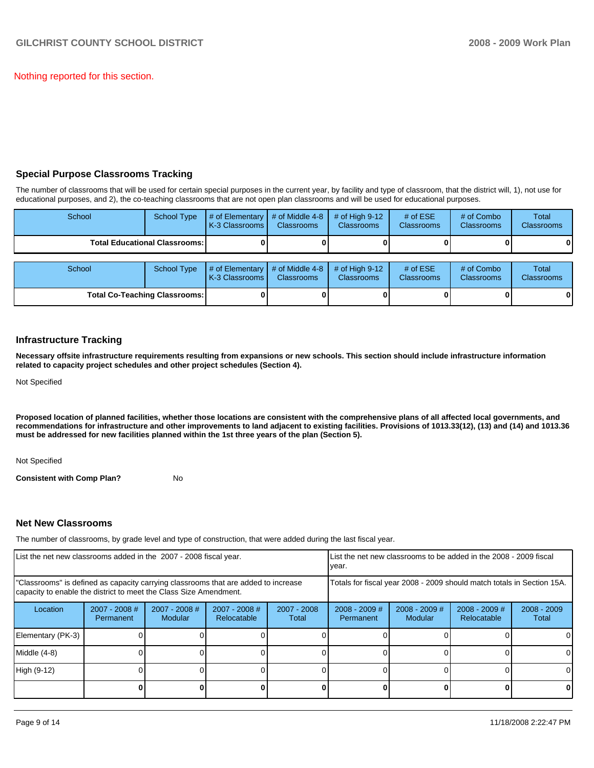Nothing reported for this section.

## **Special Purpose Classrooms Tracking**

The number of classrooms that will be used for certain special purposes in the current year, by facility and type of classroom, that the district will, 1), not use for educational purposes, and 2), the co-teaching classrooms that are not open plan classrooms and will be used for educational purposes.

| School | <b>School Type</b>                   | # of Elementary<br>K-3 Classrooms | # of Middle 4-8<br><b>Classrooms</b> | $#$ of High 9-12<br><b>Classrooms</b> | # of $ESE$<br><b>Classrooms</b> | # of Combo<br><b>Classrooms</b> | <b>Total</b><br><b>Classrooms</b> |
|--------|--------------------------------------|-----------------------------------|--------------------------------------|---------------------------------------|---------------------------------|---------------------------------|-----------------------------------|
|        | <b>Total Educational Classrooms:</b> |                                   |                                      |                                       |                                 |                                 | 01                                |
|        |                                      |                                   |                                      |                                       |                                 |                                 |                                   |
| School | <b>School Type</b>                   | # of Elementary<br>K-3 Classrooms | # of Middle 4-8<br><b>Classrooms</b> | $#$ of High 9-12<br><b>Classrooms</b> | # of $ESE$<br>Classrooms        | # of Combo<br><b>Classrooms</b> | Total<br><b>Classrooms</b>        |
|        | <b>Total Co-Teaching Classrooms:</b> |                                   |                                      |                                       |                                 |                                 | 01                                |

## **Infrastructure Tracking**

**Necessary offsite infrastructure requirements resulting from expansions or new schools. This section should include infrastructure information related to capacity project schedules and other project schedules (Section 4).** 

Not Specified

**Proposed location of planned facilities, whether those locations are consistent with the comprehensive plans of all affected local governments, and recommendations for infrastructure and other improvements to land adjacent to existing facilities. Provisions of 1013.33(12), (13) and (14) and 1013.36 must be addressed for new facilities planned within the 1st three years of the plan (Section 5).** 

Not Specified

**Consistent with Comp Plan?** No

## **Net New Classrooms**

The number of classrooms, by grade level and type of construction, that were added during the last fiscal year.

| List the net new classrooms added in the 2007 - 2008 fiscal year. |                                     |                                                                                                                                                         |                                |                      | List the net new classrooms to be added in the 2008 - 2009 fiscal<br>year. |                            |                                |                        |
|-------------------------------------------------------------------|-------------------------------------|---------------------------------------------------------------------------------------------------------------------------------------------------------|--------------------------------|----------------------|----------------------------------------------------------------------------|----------------------------|--------------------------------|------------------------|
|                                                                   |                                     | "Classrooms" is defined as capacity carrying classrooms that are added to increase<br>capacity to enable the district to meet the Class Size Amendment. |                                |                      | Totals for fiscal year 2008 - 2009 should match totals in Section 15A.     |                            |                                |                        |
| Location                                                          | $2007 - 2008$ #<br><b>Permanent</b> | 2007 - 2008 #<br><b>Modular</b>                                                                                                                         | $2007 - 2008$ #<br>Relocatable | 2007 - 2008<br>Total | $2008 - 2009$ #<br>Permanent                                               | $2008 - 2009$ #<br>Modular | $2008 - 2009$ #<br>Relocatable | $2008 - 2009$<br>Total |
| Elementary (PK-3)                                                 |                                     |                                                                                                                                                         |                                |                      |                                                                            |                            |                                | 0                      |
| Middle (4-8)                                                      |                                     |                                                                                                                                                         |                                |                      |                                                                            |                            |                                | 0                      |
| High (9-12)                                                       |                                     |                                                                                                                                                         |                                |                      |                                                                            |                            |                                | ΩI                     |
|                                                                   |                                     |                                                                                                                                                         |                                |                      |                                                                            |                            |                                | 0                      |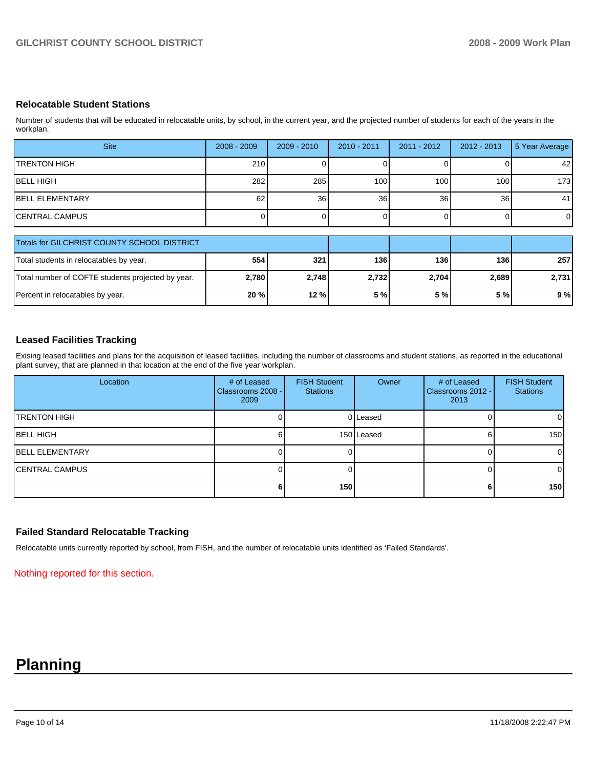## **Relocatable Student Stations**

Number of students that will be educated in relocatable units, by school, in the current year, and the projected number of students for each of the years in the workplan.

| <b>Site</b>                                       | $2008 - 2009$ | $2009 - 2010$ | $2010 - 2011$ | $2011 - 2012$ | $2012 - 2013$    | 5 Year Average |
|---------------------------------------------------|---------------|---------------|---------------|---------------|------------------|----------------|
| <b>TRENTON HIGH</b>                               | 210           |               |               |               |                  | 42             |
| <b>IBELL HIGH</b>                                 | 282           | 285           | 100           | 100           | 100 <sup>1</sup> | 173            |
| <b>IBELL ELEMENTARY</b>                           | 62            | 36            | 36            | 36            | 36               | 41             |
| ICENTRAL CAMPUS                                   |               |               |               |               |                  | $\overline{0}$ |
| Totals for GILCHRIST COUNTY SCHOOL DISTRICT       |               |               |               |               |                  |                |
|                                                   |               |               |               |               |                  |                |
| Total students in relocatables by year.           | 554           | 321           | 136           | 136           | 136              | 257            |
| Total number of COFTE students projected by year. | 2,780         | 2,748         | 2,732         | 2,704         | 2,689            | 2,731          |
| Percent in relocatables by year.                  | 20%           | 12 %          | 5 %           | 5 %           | 5 %              | 9%             |

## **Leased Facilities Tracking**

Exising leased facilities and plans for the acquisition of leased facilities, including the number of classrooms and student stations, as reported in the educational plant survey, that are planned in that location at the end of the five year workplan.

| Location                | # of Leased<br>Classrooms 2008 -<br>2009 | <b>FISH Student</b><br><b>Stations</b> | Owner      | # of Leased<br>Classrooms 2012 - I<br>2013 | <b>FISH Student</b><br><b>Stations</b> |
|-------------------------|------------------------------------------|----------------------------------------|------------|--------------------------------------------|----------------------------------------|
| <b>TRENTON HIGH</b>     |                                          |                                        | 0 Leased   |                                            | $\overline{0}$                         |
| IBELL HIGH              |                                          |                                        | 150 Leased |                                            | 150                                    |
| <b>IBELL ELEMENTARY</b> |                                          |                                        |            |                                            | $\overline{0}$                         |
| <b>CENTRAL CAMPUS</b>   |                                          |                                        |            |                                            | $\overline{0}$                         |
|                         |                                          | 150                                    |            |                                            | 150                                    |

### **Failed Standard Relocatable Tracking**

Relocatable units currently reported by school, from FISH, and the number of relocatable units identified as 'Failed Standards'.

Nothing reported for this section.

## **Planning**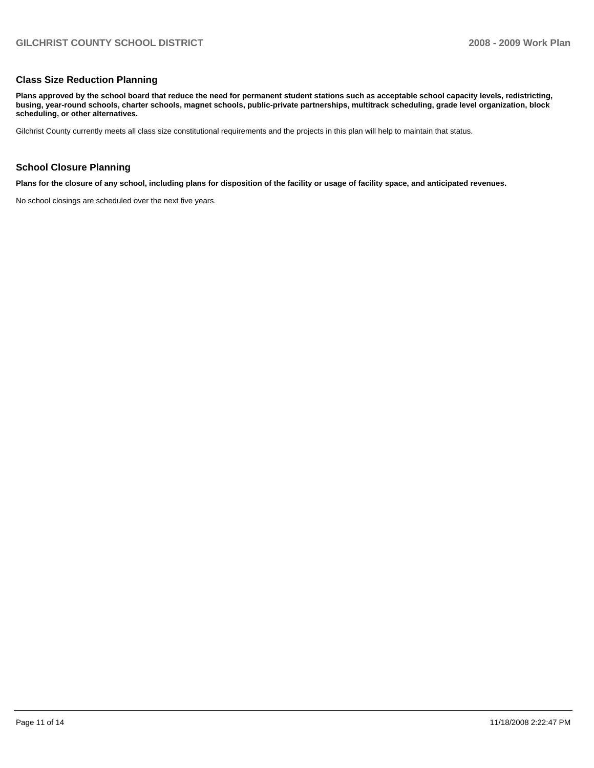### **Class Size Reduction Planning**

**Plans approved by the school board that reduce the need for permanent student stations such as acceptable school capacity levels, redistricting, busing, year-round schools, charter schools, magnet schools, public-private partnerships, multitrack scheduling, grade level organization, block scheduling, or other alternatives.** 

Gilchrist County currently meets all class size constitutional requirements and the projects in this plan will help to maintain that status.

#### **School Closure Planning**

**Plans for the closure of any school, including plans for disposition of the facility or usage of facility space, and anticipated revenues.** 

No school closings are scheduled over the next five years.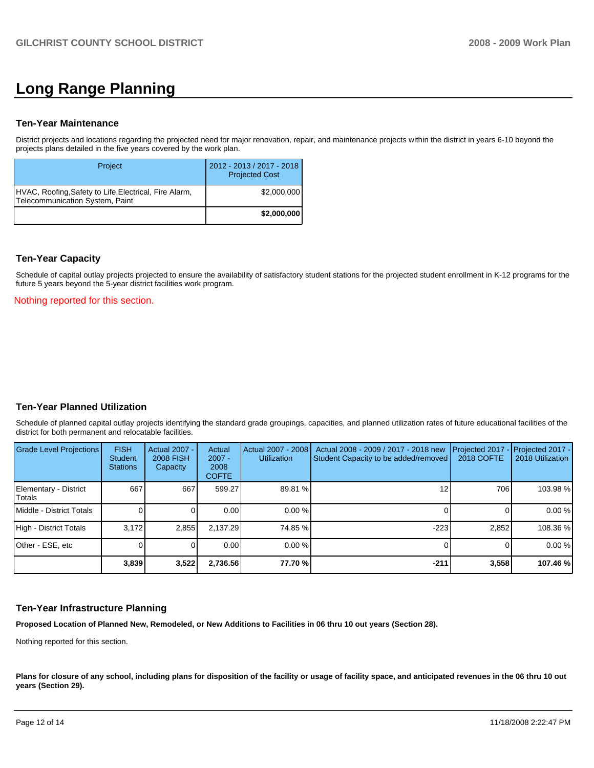## **Long Range Planning**

#### **Ten-Year Maintenance**

District projects and locations regarding the projected need for major renovation, repair, and maintenance projects within the district in years 6-10 beyond the projects plans detailed in the five years covered by the work plan.

| Project                                                                                   | 2012 - 2013 / 2017 - 2018<br><b>Projected Cost</b> |
|-------------------------------------------------------------------------------------------|----------------------------------------------------|
| HVAC, Roofing, Safety to Life, Electrical, Fire Alarm,<br>Telecommunication System, Paint | \$2,000,000                                        |
|                                                                                           | \$2,000,000                                        |

### **Ten-Year Capacity**

Schedule of capital outlay projects projected to ensure the availability of satisfactory student stations for the projected student enrollment in K-12 programs for the future 5 years beyond the 5-year district facilities work program.

Nothing reported for this section.

### **Ten-Year Planned Utilization**

Schedule of planned capital outlay projects identifying the standard grade groupings, capacities, and planned utilization rates of future educational facilities of the district for both permanent and relocatable facilities.

| Grade Level Projections         | <b>FISH</b><br>Student<br><b>Stations</b> | Actual 2007 -<br>2008 FISH<br>Capacity | Actual<br>$2007 -$<br>2008<br><b>COFTE</b> | Actual 2007 - 2008<br>Utilization | Actual 2008 - 2009 / 2017 - 2018 new<br>Student Capacity to be added/removed | Projected 2017<br>2018 COFTE | $-$ Projected 2017 -<br>2018 Utilization |
|---------------------------------|-------------------------------------------|----------------------------------------|--------------------------------------------|-----------------------------------|------------------------------------------------------------------------------|------------------------------|------------------------------------------|
| Elementary - District<br>Totals | 667                                       | 667                                    | 599.27                                     | 89.81 %                           |                                                                              | 706                          | 103.98 %                                 |
| Middle - District Totals        |                                           |                                        | 0.00                                       | 0.00%                             |                                                                              |                              | 0.00%                                    |
| High - District Totals          | 3.172                                     | 2,855                                  | 2.137.29                                   | 74.85 %                           | $-223$                                                                       | 2.852                        | 108.36 %                                 |
| Other - ESE, etc                |                                           |                                        | 0.00                                       | 0.00%                             |                                                                              |                              | 0.00%                                    |
|                                 | 3,839                                     | 3,522                                  | 2,736.56                                   | 77.70 %                           | $-211$                                                                       | 3,558                        | 107.46 %                                 |

### **Ten-Year Infrastructure Planning**

**Proposed Location of Planned New, Remodeled, or New Additions to Facilities in 06 thru 10 out years (Section 28).** 

Nothing reported for this section.

Plans for closure of any school, including plans for disposition of the facility or usage of facility space, and anticipated revenues in the 06 thru 10 out **years (Section 29).**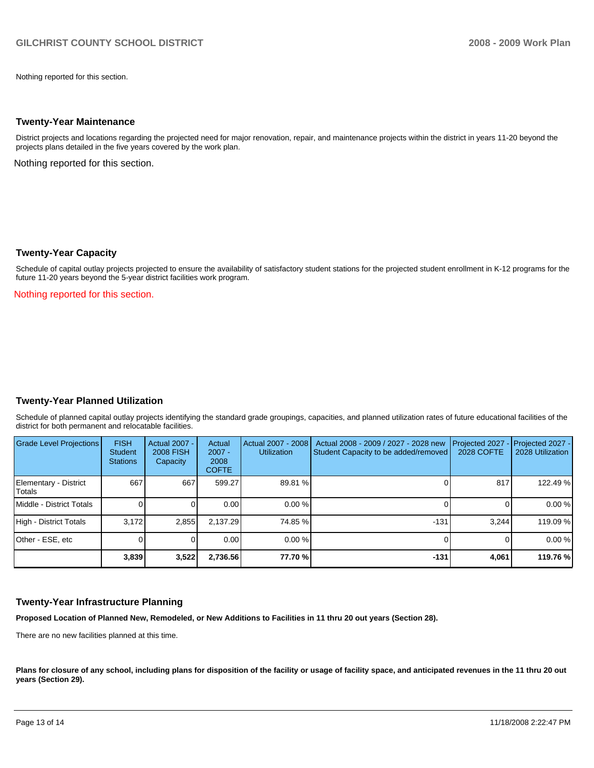Nothing reported for this section.

#### **Twenty-Year Maintenance**

District projects and locations regarding the projected need for major renovation, repair, and maintenance projects within the district in years 11-20 beyond the projects plans detailed in the five years covered by the work plan.

Nothing reported for this section.

#### **Twenty-Year Capacity**

Schedule of capital outlay projects projected to ensure the availability of satisfactory student stations for the projected student enrollment in K-12 programs for the future 11-20 years beyond the 5-year district facilities work program.

Nothing reported for this section.

### **Twenty-Year Planned Utilization**

Schedule of planned capital outlay projects identifying the standard grade groupings, capacities, and planned utilization rates of future educational facilities of the district for both permanent and relocatable facilities.

| Grade Level Projections         | <b>FISH</b><br><b>Student</b><br><b>Stations</b> | Actual 2007 -<br><b>2008 FISH</b><br>Capacity | Actual<br>$2007 -$<br>2008<br><b>COFTE</b> | Actual 2007 - 2008<br><b>Utilization</b> | Actual 2008 - 2009 / 2027 - 2028 new<br>Student Capacity to be added/removed | Projected 2027<br>2028 COFTE | $-$ Projected 2027 -<br>2028 Utilization |
|---------------------------------|--------------------------------------------------|-----------------------------------------------|--------------------------------------------|------------------------------------------|------------------------------------------------------------------------------|------------------------------|------------------------------------------|
| Elementary - District<br>Totals | 667                                              | 667                                           | 599.27                                     | 89.81 %                                  |                                                                              | 817                          | 122.49 %                                 |
| Middle - District Totals        |                                                  |                                               | 0.00                                       | 0.00%                                    |                                                                              |                              | 0.00%                                    |
| High - District Totals          | 3.172                                            | 2.855                                         | 2.137.29                                   | 74.85 %                                  | $-131$                                                                       | 3.244                        | 119.09 %                                 |
| Other - ESE, etc                |                                                  |                                               | 0.00                                       | 0.00%                                    |                                                                              |                              | 0.00%                                    |
|                                 | 3,839                                            | 3,522                                         | 2,736.56                                   | 77.70 %                                  | $-131$                                                                       | 4.061                        | 119.76 %                                 |

### **Twenty-Year Infrastructure Planning**

**Proposed Location of Planned New, Remodeled, or New Additions to Facilities in 11 thru 20 out years (Section 28).** 

There are no new facilities planned at this time.

Plans for closure of any school, including plans for disposition of the facility or usage of facility space, and anticipated revenues in the 11 thru 20 out **years (Section 29).**